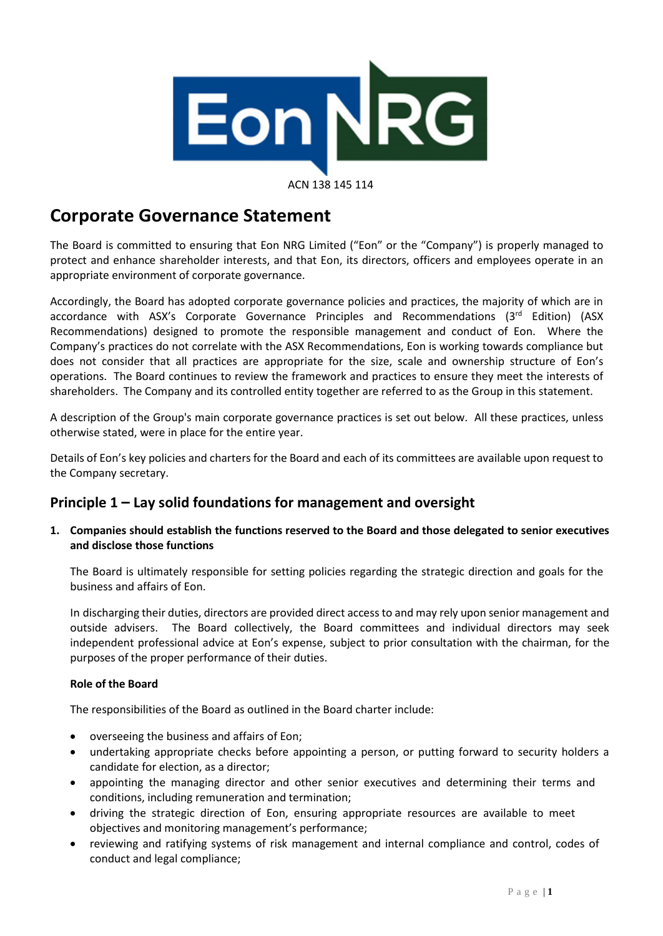

#### ACN 138 145 114

# **Corporate Governance Statement**

The Board is committed to ensuring that Eon NRG Limited ("Eon" or the "Company") is properly managed to protect and enhance shareholder interests, and that Eon, its directors, officers and employees operate in an appropriate environment of corporate governance.

Accordingly, the Board has adopted corporate governance policies and practices, the majority of which are in accordance with ASX's Corporate Governance Principles and Recommendations (3<sup>rd</sup> Edition) (ASX Recommendations) designed to promote the responsible management and conduct of Eon. Where the Company's practices do not correlate with the ASX Recommendations, Eon is working towards compliance but does not consider that all practices are appropriate for the size, scale and ownership structure of Eon's operations. The Board continues to review the framework and practices to ensure they meet the interests of shareholders. The Company and its controlled entity together are referred to as the Group in this statement.

A description of the Group's main corporate governance practices is set out below. All these practices, unless otherwise stated, were in place for the entire year.

Details of Eon's key policies and charters for the Board and each of its committees are available upon request to the Company secretary.

## **Principle 1 – Lay solid foundations for management and oversight**

**1. Companies should establish the functions reserved to the Board and those delegated to senior executives and disclose those functions** 

The Board is ultimately responsible for setting policies regarding the strategic direction and goals for the business and affairs of Eon.

In discharging their duties, directors are provided direct access to and may rely upon senior management and outside advisers. The Board collectively, the Board committees and individual directors may seek independent professional advice at Eon's expense, subject to prior consultation with the chairman, for the purposes of the proper performance of their duties.

#### **Role of the Board**

The responsibilities of the Board as outlined in the Board charter include:

- overseeing the business and affairs of Eon;
- undertaking appropriate checks before appointing a person, or putting forward to security holders a candidate for election, as a director;
- appointing the managing director and other senior executives and determining their terms and conditions, including remuneration and termination;
- driving the strategic direction of Eon, ensuring appropriate resources are available to meet objectives and monitoring management's performance;
- reviewing and ratifying systems of risk management and internal compliance and control, codes of conduct and legal compliance;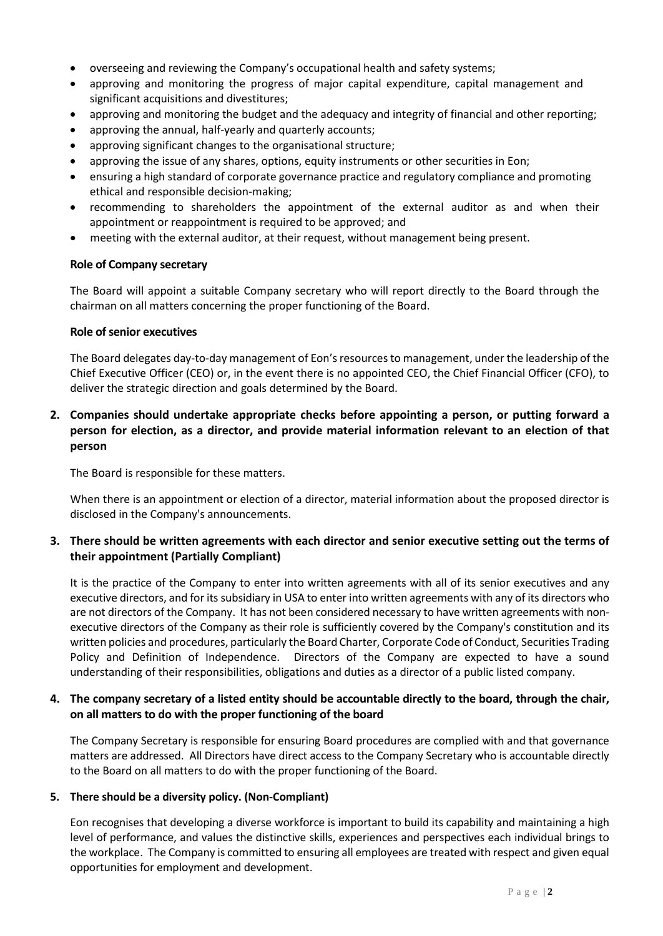- overseeing and reviewing the Company's occupational health and safety systems;
- approving and monitoring the progress of major capital expenditure, capital management and significant acquisitions and divestitures;
- approving and monitoring the budget and the adequacy and integrity of financial and other reporting;
- approving the annual, half-yearly and quarterly accounts;
- approving significant changes to the organisational structure;
- approving the issue of any shares, options, equity instruments or other securities in Eon;
- ensuring a high standard of corporate governance practice and regulatory compliance and promoting ethical and responsible decision-making;
- recommending to shareholders the appointment of the external auditor as and when their appointment or reappointment is required to be approved; and
- meeting with the external auditor, at their request, without management being present.

#### **Role of Company secretary**

The Board will appoint a suitable Company secretary who will report directly to the Board through the chairman on all matters concerning the proper functioning of the Board.

#### **Role of senior executives**

The Board delegates day-to-day management of Eon's resources to management, under the leadership of the Chief Executive Officer (CEO) or, in the event there is no appointed CEO, the Chief Financial Officer (CFO), to deliver the strategic direction and goals determined by the Board.

## **2. Companies should undertake appropriate checks before appointing a person, or putting forward a person for election, as a director, and provide material information relevant to an election of that person**

The Board is responsible for these matters.

When there is an appointment or election of a director, material information about the proposed director is disclosed in the Company's announcements.

## **3. There should be written agreements with each director and senior executive setting out the terms of their appointment (Partially Compliant)**

It is the practice of the Company to enter into written agreements with all of its senior executives and any executive directors, and for its subsidiary in USA to enter into written agreements with any of its directors who are not directors of the Company. It has not been considered necessary to have written agreements with nonexecutive directors of the Company as their role is sufficiently covered by the Company's constitution and its written policies and procedures, particularly the Board Charter, Corporate Code of Conduct, Securities Trading Policy and Definition of Independence. Directors of the Company are expected to have a sound understanding of their responsibilities, obligations and duties as a director of a public listed company.

### **4. The company secretary of a listed entity should be accountable directly to the board, through the chair, on all matters to do with the proper functioning of the board**

The Company Secretary is responsible for ensuring Board procedures are complied with and that governance matters are addressed. All Directors have direct access to the Company Secretary who is accountable directly to the Board on all matters to do with the proper functioning of the Board.

#### **5. There should be a diversity policy. (Non-Compliant)**

Eon recognises that developing a diverse workforce is important to build its capability and maintaining a high level of performance, and values the distinctive skills, experiences and perspectives each individual brings to the workplace. The Company is committed to ensuring all employees are treated with respect and given equal opportunities for employment and development.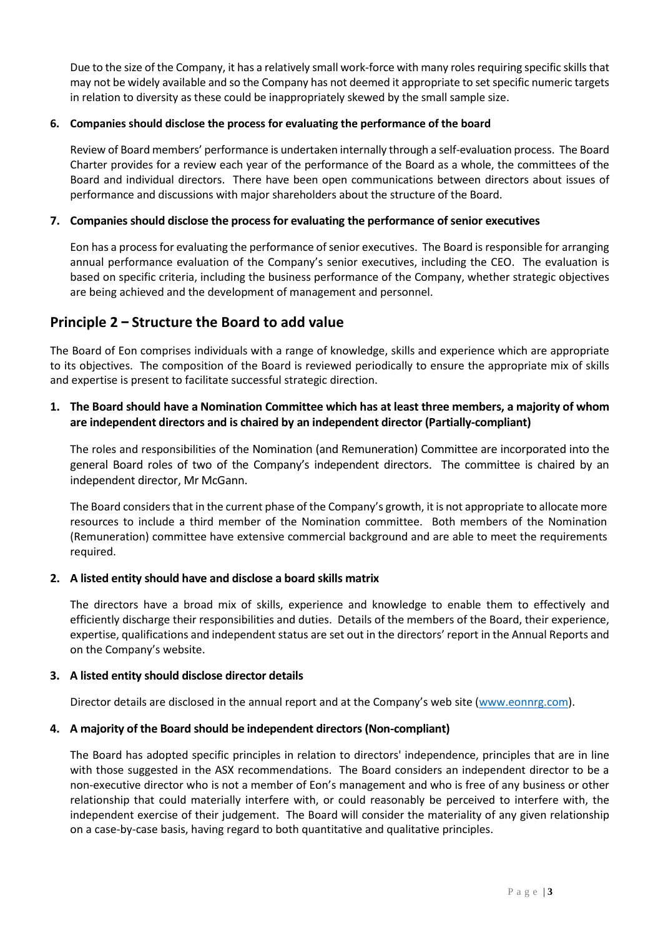Due to the size of the Company, it has a relatively small work-force with many roles requiring specific skills that may not be widely available and so the Company has not deemed it appropriate to set specific numeric targets in relation to diversity as these could be inappropriately skewed by the small sample size.

### **6. Companies should disclose the process for evaluating the performance of the board**

Review of Board members' performance is undertaken internally through a self-evaluation process. The Board Charter provides for a review each year of the performance of the Board as a whole, the committees of the Board and individual directors. There have been open communications between directors about issues of performance and discussions with major shareholders about the structure of the Board.

#### **7. Companies should disclose the process for evaluating the performance of senior executives**

Eon has a process for evaluating the performance of senior executives. The Board is responsible for arranging annual performance evaluation of the Company's senior executives, including the CEO. The evaluation is based on specific criteria, including the business performance of the Company, whether strategic objectives are being achieved and the development of management and personnel.

## **Principle 2 – Structure the Board to add value**

The Board of Eon comprises individuals with a range of knowledge, skills and experience which are appropriate to its objectives. The composition of the Board is reviewed periodically to ensure the appropriate mix of skills and expertise is present to facilitate successful strategic direction.

## **1. The Board should have a Nomination Committee which has at least three members, a majority of whom are independent directors and is chaired by an independent director (Partially-compliant)**

The roles and responsibilities of the Nomination (and Remuneration) Committee are incorporated into the general Board roles of two of the Company's independent directors. The committee is chaired by an independent director, Mr McGann.

The Board considers that in the current phase of the Company's growth, it is not appropriate to allocate more resources to include a third member of the Nomination committee. Both members of the Nomination (Remuneration) committee have extensive commercial background and are able to meet the requirements required.

#### **2. A listed entity should have and disclose a board skills matrix**

The directors have a broad mix of skills, experience and knowledge to enable them to effectively and efficiently discharge their responsibilities and duties. Details of the members of the Board, their experience, expertise, qualifications and independent status are set out in the directors' report in the Annual Reports and on the Company's website.

#### **3. A listed entity should disclose director details**

Director details are disclosed in the annual report and at the Company's web site [\(www.eonnrg.com\)](http://www.eaonnrg.com/).

#### **4. A majority of the Board should be independent directors (Non-compliant)**

The Board has adopted specific principles in relation to directors' independence, principles that are in line with those suggested in the ASX recommendations. The Board considers an independent director to be a non-executive director who is not a member of Eon's management and who is free of any business or other relationship that could materially interfere with, or could reasonably be perceived to interfere with, the independent exercise of their judgement. The Board will consider the materiality of any given relationship on a case-by-case basis, having regard to both quantitative and qualitative principles.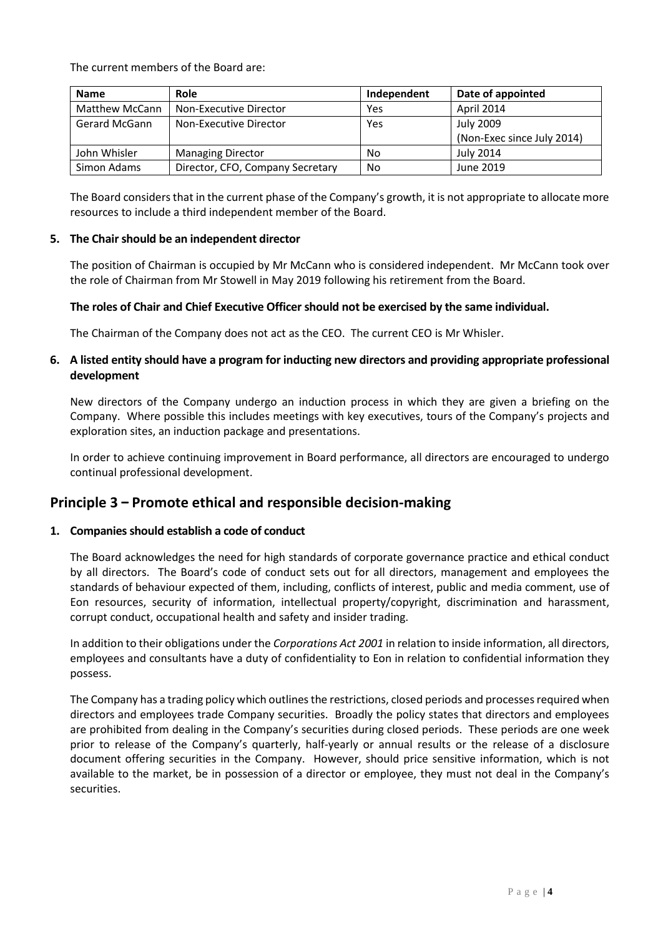The current members of the Board are:

| <b>Name</b>           | Role                             | Independent | Date of appointed          |
|-----------------------|----------------------------------|-------------|----------------------------|
| <b>Matthew McCann</b> | Non-Executive Director           | Yes         | April 2014                 |
| Gerard McGann         | Non-Executive Director           | Yes         | <b>July 2009</b>           |
|                       |                                  |             | (Non-Exec since July 2014) |
| John Whisler          | <b>Managing Director</b>         | No          | July 2014                  |
| Simon Adams           | Director, CFO, Company Secretary | No          | June 2019                  |

The Board considers that in the current phase of the Company's growth, it is not appropriate to allocate more resources to include a third independent member of the Board.

#### **5. The Chair should be an independent director**

The position of Chairman is occupied by Mr McCann who is considered independent. Mr McCann took over the role of Chairman from Mr Stowell in May 2019 following his retirement from the Board.

#### **The roles of Chair and Chief Executive Officer should not be exercised by the same individual.**

The Chairman of the Company does not act as the CEO. The current CEO is Mr Whisler.

### **6. A listed entity should have a program for inducting new directors and providing appropriate professional development**

New directors of the Company undergo an induction process in which they are given a briefing on the Company. Where possible this includes meetings with key executives, tours of the Company's projects and exploration sites, an induction package and presentations.

In order to achieve continuing improvement in Board performance, all directors are encouraged to undergo continual professional development.

## **Principle 3 – Promote ethical and responsible decision-making**

#### **1. Companies should establish a code of conduct**

The Board acknowledges the need for high standards of corporate governance practice and ethical conduct by all directors. The Board's code of conduct sets out for all directors, management and employees the standards of behaviour expected of them, including, conflicts of interest, public and media comment, use of Eon resources, security of information, intellectual property/copyright, discrimination and harassment, corrupt conduct, occupational health and safety and insider trading.

In addition to their obligations under the *Corporations Act 2001* in relation to inside information, all directors, employees and consultants have a duty of confidentiality to Eon in relation to confidential information they possess.

The Company has a trading policy which outlines the restrictions, closed periods and processes required when directors and employees trade Company securities. Broadly the policy states that directors and employees are prohibited from dealing in the Company's securities during closed periods. These periods are one week prior to release of the Company's quarterly, half-yearly or annual results or the release of a disclosure document offering securities in the Company. However, should price sensitive information, which is not available to the market, be in possession of a director or employee, they must not deal in the Company's securities.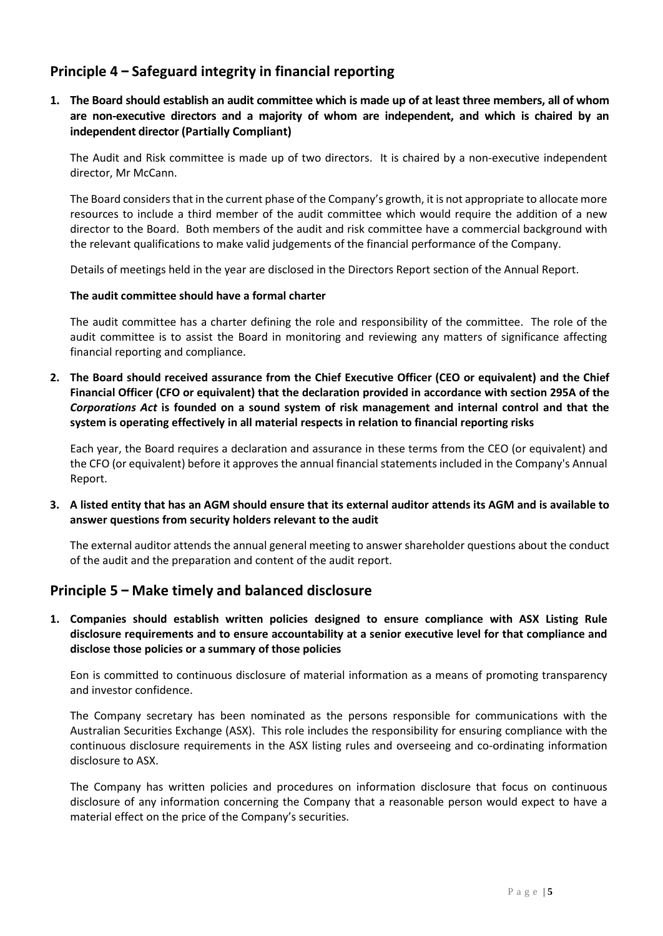## **Principle 4 – Safeguard integrity in financial reporting**

**1. The Board should establish an audit committee which is made up of at least three members, all of whom are non-executive directors and a majority of whom are independent, and which is chaired by an independent director (Partially Compliant)** 

The Audit and Risk committee is made up of two directors. It is chaired by a non-executive independent director, Mr McCann.

The Board considers that in the current phase of the Company's growth, it is not appropriate to allocate more resources to include a third member of the audit committee which would require the addition of a new director to the Board. Both members of the audit and risk committee have a commercial background with the relevant qualifications to make valid judgements of the financial performance of the Company.

Details of meetings held in the year are disclosed in the Directors Report section of the Annual Report.

### **The audit committee should have a formal charter**

The audit committee has a charter defining the role and responsibility of the committee. The role of the audit committee is to assist the Board in monitoring and reviewing any matters of significance affecting financial reporting and compliance.

**2. The Board should received assurance from the Chief Executive Officer (CEO or equivalent) and the Chief Financial Officer (CFO or equivalent) that the declaration provided in accordance with section 295A of the**  *Corporations Act* **is founded on a sound system of risk management and internal control and that the system is operating effectively in all material respects in relation to financial reporting risks** 

Each year, the Board requires a declaration and assurance in these terms from the CEO (or equivalent) and the CFO (or equivalent) before it approves the annual financial statements included in the Company's Annual Report.

**3. A listed entity that has an AGM should ensure that its external auditor attends its AGM and is available to answer questions from security holders relevant to the audit**

The external auditor attends the annual general meeting to answer shareholder questions about the conduct of the audit and the preparation and content of the audit report.

## **Principle 5 – Make timely and balanced disclosure**

**1. Companies should establish written policies designed to ensure compliance with ASX Listing Rule disclosure requirements and to ensure accountability at a senior executive level for that compliance and disclose those policies or a summary of those policies** 

Eon is committed to continuous disclosure of material information as a means of promoting transparency and investor confidence.

The Company secretary has been nominated as the persons responsible for communications with the Australian Securities Exchange (ASX). This role includes the responsibility for ensuring compliance with the continuous disclosure requirements in the ASX listing rules and overseeing and co-ordinating information disclosure to ASX.

The Company has written policies and procedures on information disclosure that focus on continuous disclosure of any information concerning the Company that a reasonable person would expect to have a material effect on the price of the Company's securities.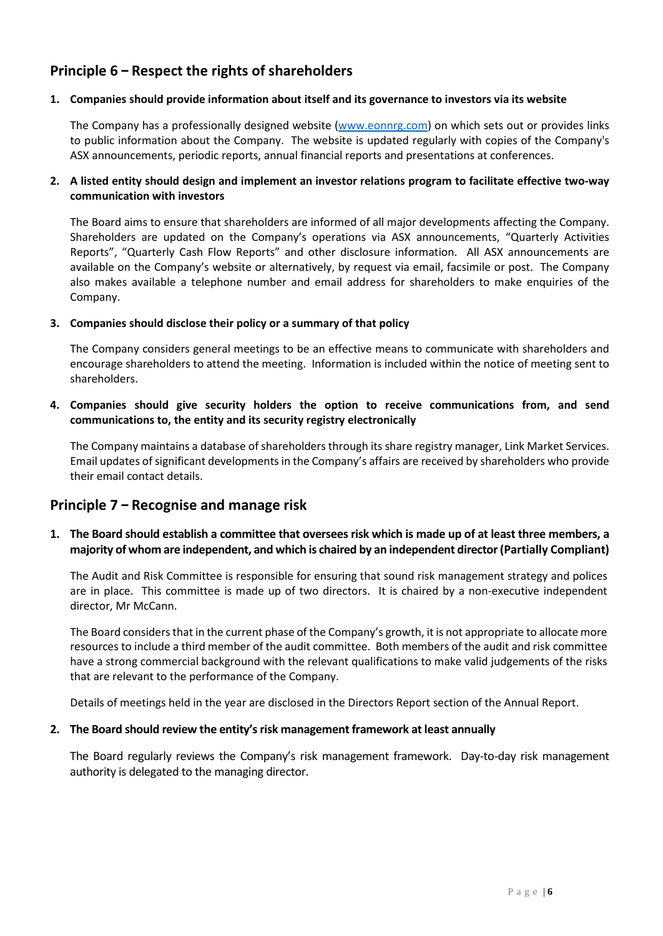## **Principle 6 – Respect the rights of shareholders**

#### **1. Companies should provide information about itself and its governance to investors via its website**

The Company has a professionally designed website [\(www.eonnrg.com\)](http://www.eonnrg.com/) on which sets out or provides links to public information about the Company. The website is updated regularly with copies of the Company's ASX announcements, periodic reports, annual financial reports and presentations at conferences.

### **2. A listed entity should design and implement an investor relations program to facilitate effective two-way communication with investors**

The Board aims to ensure that shareholders are informed of all major developments affecting the Company. Shareholders are updated on the Company's operations via ASX announcements, "Quarterly Activities Reports", "Quarterly Cash Flow Reports" and other disclosure information. All ASX announcements are available on the Company's website or alternatively, by request via email, facsimile or post. The Company also makes available a telephone number and email address for shareholders to make enquiries of the Company.

#### **3. Companies should disclose their policy or a summary of that policy**

The Company considers general meetings to be an effective means to communicate with shareholders and encourage shareholders to attend the meeting. Information is included within the notice of meeting sent to shareholders.

### **4. Companies should give security holders the option to receive communications from, and send communications to, the entity and its security registry electronically**

The Company maintains a database of shareholders through its share registry manager, Link Market Services. Email updates of significant developments in the Company's affairs are received by shareholders who provide their email contact details.

## **Principle 7 – Recognise and manage risk**

## **1. The Board should establish a committee that oversees risk which is made up of at least three members, a majority of whom are independent, and which is chaired by an independent director (Partially Compliant)**

The Audit and Risk Committee is responsible for ensuring that sound risk management strategy and polices are in place. This committee is made up of two directors. It is chaired by a non-executive independent director, Mr McCann.

The Board considers that in the current phase of the Company's growth, it is not appropriate to allocate more resources to include a third member of the audit committee. Both members of the audit and risk committee have a strong commercial background with the relevant qualifications to make valid judgements of the risks that are relevant to the performance of the Company.

Details of meetings held in the year are disclosed in the Directors Report section of the Annual Report.

#### **2. The Board should review the entity's risk management framework at least annually**

The Board regularly reviews the Company's risk management framework. Day-to-day risk management authority is delegated to the managing director.